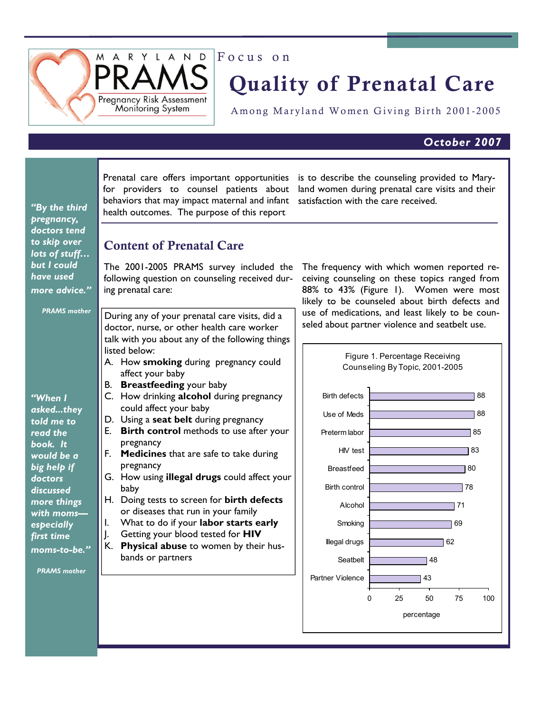

# Quality of Prenatal Care

Among Maryland Women Giving Birth 2001-2005

# *October 2007*

| "By the third<br>pregnancy,                                                                                       | Prenatal care offers important opportunities<br>is to describe the counseling provided to Mary-<br>for providers to counsel patients about<br>land women during prenatal care visits and their<br>behaviors that may impact maternal and infant<br>satisfaction with the care received.<br>health outcomes. The purpose of this report                                                                                                                                                                                                                                                                                    |  |  |  |  |  |  |  |
|-------------------------------------------------------------------------------------------------------------------|---------------------------------------------------------------------------------------------------------------------------------------------------------------------------------------------------------------------------------------------------------------------------------------------------------------------------------------------------------------------------------------------------------------------------------------------------------------------------------------------------------------------------------------------------------------------------------------------------------------------------|--|--|--|--|--|--|--|
| doctors tend<br>to skip over<br>lots of stuff<br>but I could<br>have used<br>more advice."<br><b>PRAMS</b> mother | <b>Content of Prenatal Care</b><br>The 2001-2005 PRAMS survey included the<br>The frequency with which women reported re-<br>following question on counseling received dur-<br>ceiving counseling on these topics ranged from<br>88% to 43% (Figure I). Women were most<br>ing prenatal care:<br>likely to be counseled about birth defects and<br>use of medications, and least likely to be coun-<br>During any of your prenatal care visits, did a<br>seled about partner violence and seatbelt use.<br>doctor, nurse, or other health care worker<br>talk with you about any of the following things<br>listed below: |  |  |  |  |  |  |  |
|                                                                                                                   | Figure 1. Percentage Receiving<br>A. How smoking during pregnancy could<br>Counseling By Topic, 2001-2005<br>affect your baby<br>B. Breastfeeding your baby                                                                                                                                                                                                                                                                                                                                                                                                                                                               |  |  |  |  |  |  |  |
| "When I                                                                                                           | C. How drinking alcohol during pregnancy<br><b>Birth defects</b><br>88                                                                                                                                                                                                                                                                                                                                                                                                                                                                                                                                                    |  |  |  |  |  |  |  |
| askedthey                                                                                                         | could affect your baby<br>88<br>Use of Meds                                                                                                                                                                                                                                                                                                                                                                                                                                                                                                                                                                               |  |  |  |  |  |  |  |
| told me to<br>read the                                                                                            | D. Using a seat belt during pregnancy<br>E. Birth control methods to use after your<br>Preterm labor<br>85                                                                                                                                                                                                                                                                                                                                                                                                                                                                                                                |  |  |  |  |  |  |  |
| book. It                                                                                                          | pregnancy                                                                                                                                                                                                                                                                                                                                                                                                                                                                                                                                                                                                                 |  |  |  |  |  |  |  |
| would be a                                                                                                        | 83<br>HIV test<br><b>Medicines</b> that are safe to take during<br>F.                                                                                                                                                                                                                                                                                                                                                                                                                                                                                                                                                     |  |  |  |  |  |  |  |
| big help if<br>doctors                                                                                            | pregnancy<br>80<br><b>Breastfeed</b><br>G. How using illegal drugs could affect your                                                                                                                                                                                                                                                                                                                                                                                                                                                                                                                                      |  |  |  |  |  |  |  |
| discussed                                                                                                         | 78<br>Birth control<br>baby                                                                                                                                                                                                                                                                                                                                                                                                                                                                                                                                                                                               |  |  |  |  |  |  |  |
| more things                                                                                                       | H. Doing tests to screen for birth defects<br>Alcohol<br>71<br>or diseases that run in your family                                                                                                                                                                                                                                                                                                                                                                                                                                                                                                                        |  |  |  |  |  |  |  |
| with moms-<br>especially                                                                                          | What to do if your labor starts early<br>I.<br>Smoking<br>69                                                                                                                                                                                                                                                                                                                                                                                                                                                                                                                                                              |  |  |  |  |  |  |  |
| first time                                                                                                        | Getting your blood tested for HIV<br>J.<br><b>Illegal drugs</b><br>62                                                                                                                                                                                                                                                                                                                                                                                                                                                                                                                                                     |  |  |  |  |  |  |  |
| moms-to-be."                                                                                                      | Physical abuse to women by their hus-<br>К.<br>bands or partners<br>Seatbelt<br>48                                                                                                                                                                                                                                                                                                                                                                                                                                                                                                                                        |  |  |  |  |  |  |  |
| <b>PRAMS</b> mother                                                                                               |                                                                                                                                                                                                                                                                                                                                                                                                                                                                                                                                                                                                                           |  |  |  |  |  |  |  |
|                                                                                                                   | Partner Violence<br>43                                                                                                                                                                                                                                                                                                                                                                                                                                                                                                                                                                                                    |  |  |  |  |  |  |  |
|                                                                                                                   | 25<br>50<br>75<br>100<br>0                                                                                                                                                                                                                                                                                                                                                                                                                                                                                                                                                                                                |  |  |  |  |  |  |  |
|                                                                                                                   | percentage                                                                                                                                                                                                                                                                                                                                                                                                                                                                                                                                                                                                                |  |  |  |  |  |  |  |
|                                                                                                                   |                                                                                                                                                                                                                                                                                                                                                                                                                                                                                                                                                                                                                           |  |  |  |  |  |  |  |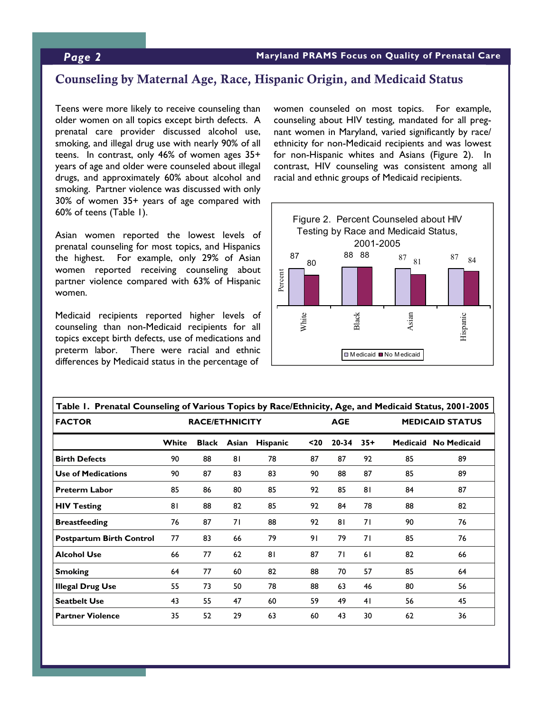## Counseling by Maternal Age, Race, Hispanic Origin, and Medicaid Status

Teens were more likely to receive counseling than older women on all topics except birth defects. A prenatal care provider discussed alcohol use, smoking, and illegal drug use with nearly 90% of all teens. In contrast, only 46% of women ages 35+ years of age and older were counseled about illegal drugs, and approximately 60% about alcohol and smoking. Partner violence was discussed with only 30% of women 35+ years of age compared with 60% of teens (Table 1).

Asian women reported the lowest levels of prenatal counseling for most topics, and Hispanics the highest. For example, only 29% of Asian women reported receiving counseling about partner violence compared with 63% of Hispanic women.

Medicaid recipients reported higher levels of counseling than non-Medicaid recipients for all topics except birth defects, use of medications and preterm labor. There were racial and ethnic differences by Medicaid status in the percentage of

women counseled on most topics. For example, counseling about HIV testing, mandated for all pregnant women in Maryland, varied significantly by race/ ethnicity for non-Medicaid recipients and was lowest for non-Hispanic whites and Asians (Figure 2). In contrast, HIV counseling was consistent among all racial and ethnic groups of Medicaid recipients.



| Table 1. Prenatal Counseling of Various Topics by Race/Ethnicity, Age, and Medicaid Status, 2001-2005 |                       |              |       |                 |      |           |                        |    |                      |  |  |
|-------------------------------------------------------------------------------------------------------|-----------------------|--------------|-------|-----------------|------|-----------|------------------------|----|----------------------|--|--|
| <b>FACTOR</b>                                                                                         | <b>RACE/ETHNICITY</b> |              |       | <b>AGE</b>      |      |           | <b>MEDICAID STATUS</b> |    |                      |  |  |
|                                                                                                       | White                 | <b>Black</b> | Asian | <b>Hispanic</b> | $20$ | $20 - 34$ | $35+$                  |    | Medicaid No Medicaid |  |  |
| <b>Birth Defects</b>                                                                                  | 90                    | 88           | 81    | 78              | 87   | 87        | 92                     | 85 | 89                   |  |  |
| <b>Use of Medications</b>                                                                             | 90                    | 87           | 83    | 83              | 90   | 88        | 87                     | 85 | 89                   |  |  |
| <b>Preterm Labor</b>                                                                                  | 85                    | 86           | 80    | 85              | 92   | 85        | 81                     | 84 | 87                   |  |  |
| <b>HIV Testing</b>                                                                                    | 81                    | 88           | 82    | 85              | 92   | 84        | 78                     | 88 | 82                   |  |  |
| <b>Breastfeeding</b>                                                                                  | 76                    | 87           | 71    | 88              | 92   | 81        | 71                     | 90 | 76                   |  |  |
| <b>Postpartum Birth Control</b>                                                                       | 77                    | 83           | 66    | 79              | 91   | 79        | 71                     | 85 | 76                   |  |  |
| <b>Alcohol Use</b>                                                                                    | 66                    | 77           | 62    | 81              | 87   | 71        | 61                     | 82 | 66                   |  |  |
| <b>Smoking</b>                                                                                        | 64                    | 77           | 60    | 82              | 88   | 70        | 57                     | 85 | 64                   |  |  |
| <b>Illegal Drug Use</b>                                                                               | 55                    | 73           | 50    | 78              | 88   | 63        | 46                     | 80 | 56                   |  |  |
| <b>Seatbelt Use</b>                                                                                   | 43                    | 55           | 47    | 60              | 59   | 49        | 41                     | 56 | 45                   |  |  |
| <b>Partner Violence</b>                                                                               | 35                    | 52           | 29    | 63              | 60   | 43        | 30                     | 62 | 36                   |  |  |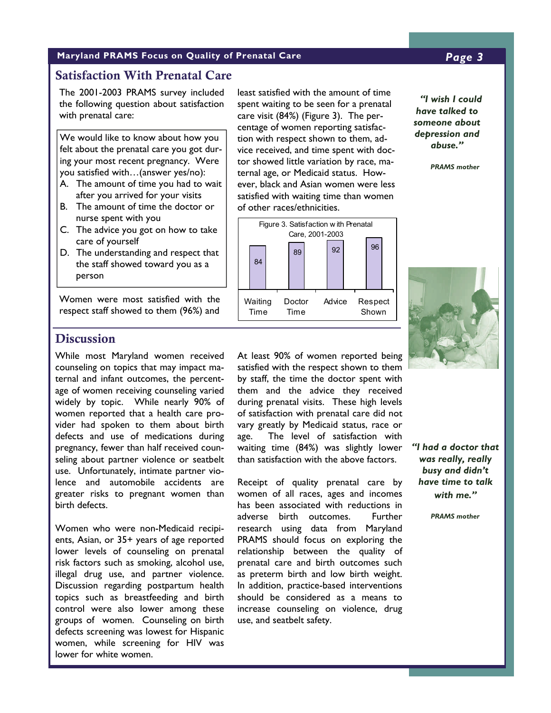#### **Maryland PRAMS Focus on Quality of Prenatal Care** *Page 3*

### Satisfaction With Prenatal Care

The 2001-2003 PRAMS survey included the following question about satisfaction with prenatal care:

We would like to know about how you felt about the prenatal care you got during your most recent pregnancy. Were you satisfied with…(answer yes/no):

- A. The amount of time you had to wait after you arrived for your visits
- B. The amount of time the doctor or nurse spent with you
- C. The advice you got on how to take care of yourself
- D. The understanding and respect that the staff showed toward you as a person

Women were most satisfied with the respect staff showed to them (96%) and

least satisfied with the amount of time spent waiting to be seen for a prenatal care visit (84%) (Figure 3). The percentage of women reporting satisfaction with respect shown to them, advice received, and time spent with doctor showed little variation by race, maternal age, or Medicaid status. However, black and Asian women were less satisfied with waiting time than women of other races/ethnicities.



*"I wish I could have talked to someone about depression and abuse."* 

 *PRAMS mother*



# **Discussion**

While most Maryland women received counseling on topics that may impact maternal and infant outcomes, the percentage of women receiving counseling varied widely by topic. While nearly 90% of women reported that a health care provider had spoken to them about birth defects and use of medications during pregnancy, fewer than half received counseling about partner violence or seatbelt use. Unfortunately, intimate partner violence and automobile accidents are greater risks to pregnant women than birth defects.

Women who were non-Medicaid recipients, Asian, or 35+ years of age reported lower levels of counseling on prenatal risk factors such as smoking, alcohol use, illegal drug use, and partner violence. Discussion regarding postpartum health topics such as breastfeeding and birth control were also lower among these groups of women. Counseling on birth defects screening was lowest for Hispanic women, while screening for HIV was lower for white women.

At least 90% of women reported being satisfied with the respect shown to them by staff, the time the doctor spent with them and the advice they received during prenatal visits. These high levels of satisfaction with prenatal care did not vary greatly by Medicaid status, race or age. The level of satisfaction with waiting time (84%) was slightly lower than satisfaction with the above factors.

Receipt of quality prenatal care by women of all races, ages and incomes has been associated with reductions in adverse birth outcomes. Further research using data from Maryland PRAMS should focus on exploring the relationship between the quality of prenatal care and birth outcomes such as preterm birth and low birth weight. In addition, practice-based interventions should be considered as a means to increase counseling on violence, drug use, and seatbelt safety.

*"I had a doctor that was really, really busy and didn't have time to talk with me."* 

 *PRAMS mother*